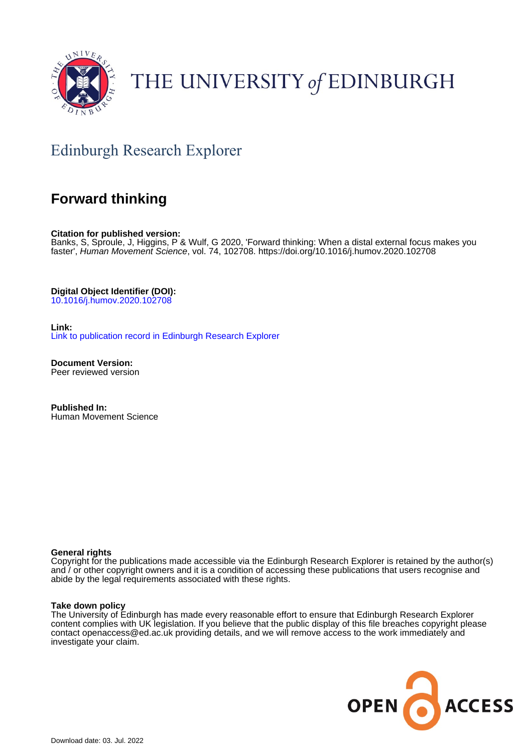

# THE UNIVERSITY of EDINBURGH

# Edinburgh Research Explorer

# **Forward thinking**

**Citation for published version:**

Banks, S, Sproule, J, Higgins, P & Wulf, G 2020, 'Forward thinking: When a distal external focus makes you faster', Human Movement Science, vol. 74, 102708.<https://doi.org/10.1016/j.humov.2020.102708>

**Digital Object Identifier (DOI):**

[10.1016/j.humov.2020.102708](https://doi.org/10.1016/j.humov.2020.102708)

**Link:** [Link to publication record in Edinburgh Research Explorer](https://www.research.ed.ac.uk/en/publications/3bd2ef9c-b5c0-4e6e-9933-6ec773f9854a)

**Document Version:** Peer reviewed version

**Published In:** Human Movement Science

#### **General rights**

Copyright for the publications made accessible via the Edinburgh Research Explorer is retained by the author(s) and / or other copyright owners and it is a condition of accessing these publications that users recognise and abide by the legal requirements associated with these rights.

#### **Take down policy**

The University of Edinburgh has made every reasonable effort to ensure that Edinburgh Research Explorer content complies with UK legislation. If you believe that the public display of this file breaches copyright please contact openaccess@ed.ac.uk providing details, and we will remove access to the work immediately and investigate your claim.

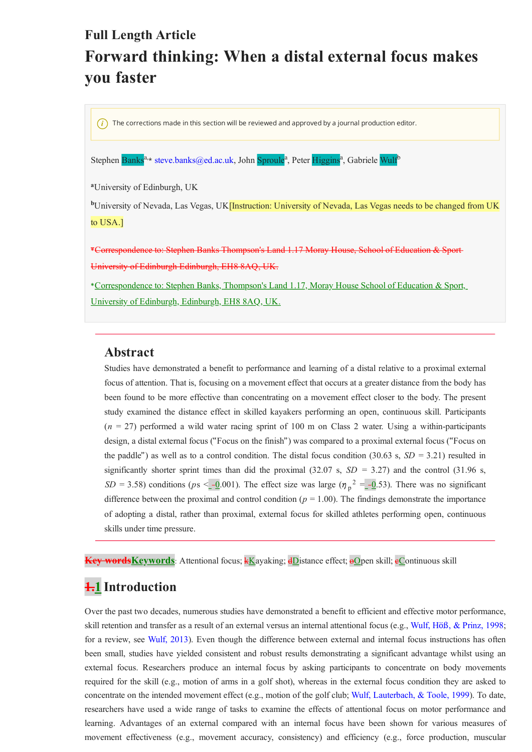# **Full Length Article** Forward thinking: When a distal external focus makes you faster

 $(i)$  The corrections made in this section will be reviewed and approved by a journal production editor.

Stephen Banks<sup>a,\*</sup> steve.banks@ed.ac.uk, John Sproule<sup>a</sup>, Peter Higgins<sup>a</sup>, Gabriele Wulf<sup>b</sup>

<sup>a</sup>University of Edinburgh, UK

<sup>b</sup>University of Nevada, Las Vegas, UK[Instruction: University of Nevada, Las Vegas needs to be changed from UK to USA.]

\*Correspondence to: Stephen Banks Thompson's Land 1.17 Moray House, School of Education & Sport University of Edinburgh Edinburgh, EH8 8AQ, UK.

\*Correspondence to: Stephen Banks, Thompson's Land 1.17, Moray House School of Education & Sport, University of Edinburgh, Edinburgh, EH8 8AQ, UK.

### **Abstract**

Studies have demonstrated a benefit to performance and learning of a distal relative to a proximal external focus of attention. That is, focusing on a movement effect that occurs at a greater distance from the body has been found to be more effective than concentrating on a movement effect closer to the body. The present study examined the distance effect in skilled kayakers performing an open, continuous skill. Participants  $(n = 27)$  performed a wild water racing sprint of 100 m on Class 2 water. Using a within-participants design, a distal external focus ("Focus on the finish") was compared to a proximal external focus ("Focus on the paddle") as well as to a control condition. The distal focus condition (30.63 s,  $SD = 3.21$ ) resulted in significantly shorter sprint times than did the proximal (32.07 s,  $SD = 3.27$ ) and the control (31.96 s,  $SD = 3.58$ ) conditions (ps < -0.001). The effect size was large ( $\eta_p^2 = -0.53$ ). There was no significant difference between the proximal and control condition ( $p = 1.00$ ). The findings demonstrate the importance of adopting a distal, rather than proximal, external focus for skilled athletes performing open, continuous skills under time pressure.

<del>Key words</del>Keywords: Attentional focus; kKayaking; <del>d</del>Distance effect; oOpen skill; eContinuous skill

### **+1** Introduction

Over the past two decades, numerous studies have demonstrated a benefit to efficient and effective motor performance. skill retention and transfer as a result of an external versus an internal attentional focus (e.g., Wulf, Höß, & Prinz, 1998; for a review, see Wulf, 2013). Even though the difference between external and internal focus instructions has often been small, studies have yielded consistent and robust results demonstrating a significant advantage whilst using an external focus. Researchers produce an internal focus by asking participants to concentrate on body movements required for the skill (e.g., motion of arms in a golf shot), whereas in the external focus condition they are asked to concentrate on the intended movement effect (e.g., motion of the golf club; Wulf, Lauterbach, & Toole, 1999). To date, researchers have used a wide range of tasks to examine the effects of attentional focus on motor performance and learning. Advantages of an external compared with an internal focus have been shown for various measures of movement effectiveness (e.g., movement accuracy, consistency) and efficiency (e.g., force production, muscular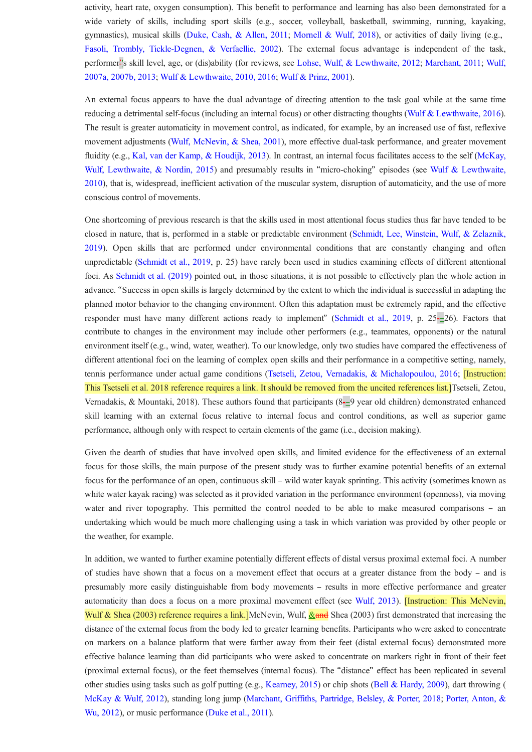activity, heart rate, oxygen consumption). This benefit to performance and learning has also been demonstrated for a wide variety of skills, including sport skills (e.g., soccer, volleyball, basketball, swimming, running, kayaking, gymnastics), musical skills (Duke, Cash, & Allen, 2011; Mornell & Wulf, 2018), or activities of daily living (e.g., Fasoli, Trombly, Tickle-Degnen, & Verfaellie, 2002). The external focus advantage is independent of the task, performer<sup>y</sup>s skill level, age, or (dis)ability (for reviews, see Lohse, Wulf, & Lewthwaite, 2012; Marchant, 2011; Wulf, 2007a, 2007b, 2013; Wulf & Lewthwaite, 2010, 2016; Wulf & Prinz, 2001).

An external focus appears to have the dual advantage of directing attention to the task goal while at the same time reducing a detrimental self-focus (including an internal focus) or other distracting thoughts (Wulf & Lewthwaite, 2016). The result is greater automaticity in movement control, as indicated, for example, by an increased use of fast, reflexive movement adjustments (Wulf, McNevin, & Shea, 2001), more effective dual-task performance, and greater movement fluidity (e.g., Kal, van der Kamp, & Houdijk, 2013). In contrast, an internal focus facilitates access to the self (McKay, Wulf, Lewthwaite, & Nordin, 2015) and presumably results in "micro-choking" episodes (see Wulf & Lewthwaite, 2010), that is, widespread, inefficient activation of the muscular system, disruption of automaticity, and the use of more conscious control of movements.

One shortcoming of previous research is that the skills used in most attentional focus studies thus far have tended to be closed in nature, that is, performed in a stable or predictable environment (Schmidt, Lee, Winstein, Wulf, & Zelaznik, 2019). Open skills that are performed under environmental conditions that are constantly changing and often unpredictable (Schmidt et al., 2019, p. 25) have rarely been used in studies examining effects of different attentional foci. As Schmidt et al. (2019) pointed out, in those situations, it is not possible to effectively plan the whole action in advance. "Success in open skills is largely determined by the extent to which the individual is successful in adapting the planned motor behavior to the changing environment. Often this adaptation must be extremely rapid, and the effective responder must have many different actions ready to implement" (Schmidt et al., 2019, p. 25–26). Factors that contribute to changes in the environment may include other performers (e.g., teammates, opponents) or the natural environment itself (e.g., wind, water, weather). To our knowledge, only two studies have compared the effectiveness of different attentional foci on the learning of complex open skills and their performance in a competitive setting, namely, tennis performance under actual game conditions (Tsetseli, Zetou, Vernadakis, & Michalopoulou, 2016; [Instruction: This Tsetseli et al. 2018 reference requires a link. It should be removed from the uncited references list.]Tsetseli, Zetou, Vernadakis, & Mountaki, 2018). These authors found that participants  $(8-9)$  year old children) demonstrated enhanced skill learning with an external focus relative to internal focus and control conditions, as well as superior game performance, although only with respect to certain elements of the game (i.e., decision making).

Given the dearth of studies that have involved open skills, and limited evidence for the effectiveness of an external focus for those skills, the main purpose of the present study was to further examine potential benefits of an external focus for the performance of an open, continuous skill – wild water kayak sprinting. This activity (sometimes known as white water kayak racing) was selected as it provided variation in the performance environment (openness), via moving water and river topography. This permitted the control needed to be able to make measured comparisons – an undertaking which would be much more challenging using a task in which variation was provided by other people or the weather, for example.

In addition, we wanted to further examine potentially different effects of distal versus proximal external foci. A number of studies have shown that a focus on a movement effect that occurs at a greater distance from the body – and is presumably more easily distinguishable from body movements - results in more effective performance and greater automaticity than does a focus on a more proximal movement effect (see Wulf, 2013). [Instruction: This McNevin, Wulf & Shea (2003) reference requires a link. McNevin, Wulf,  $\&$  and Shea (2003) first demonstrated that increasing the distance of the external focus from the body led to greater learning benefits. Participants who were asked to concentrate on markers on a balance platform that were farther away from their feet (distal external focus) demonstrated more effective balance learning than did participants who were asked to concentrate on markers right in front of their feet (proximal external focus), or the feet themselves (internal focus). The "distance" effect has been replicated in several other studies using tasks such as golf putting (e.g., Kearney, 2015) or chip shots (Bell & Hardy, 2009), dart throwing ( McKay & Wulf, 2012), standing long jump (Marchant, Griffiths, Partridge, Belsley, & Porter, 2018; Porter, Anton, & Wu, 2012), or music performance (Duke et al., 2011).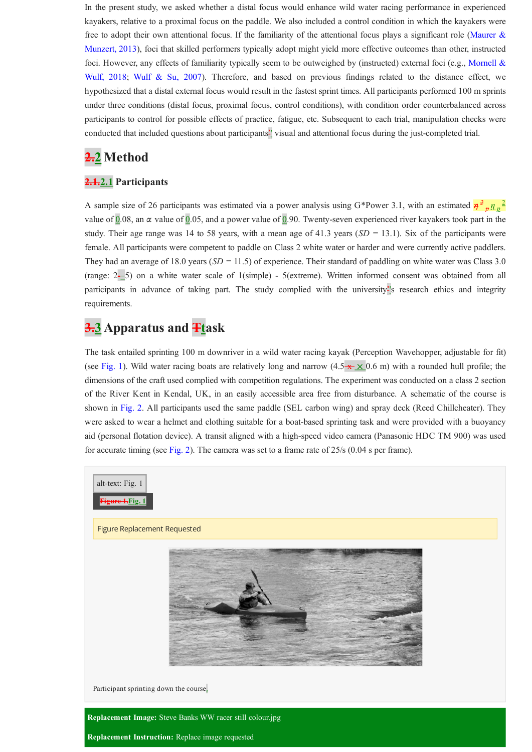In the present study, we asked whether a distal focus would enhance wild water racing performance in experienced kayakers, relative to a proximal focus on the paddle. We also included a control condition in which the kayakers were free to adopt their own attentional focus. If the familiarity of the attentional focus plays a significant role (Maurer & Munzert, 2013), foci that skilled performers typically adopt might yield more effective outcomes than other, instructed foci. However, any effects of familiarity typically seem to be outweighed by (instructed) external foci (e.g., Mornell & Wulf, 2018; Wulf & Su, 2007). Therefore, and based on previous findings related to the distance effect, we hypothesized that a distal external focus would result in the fastest sprint times. All participants performed 100 m sprints under three conditions (distal focus, proximal focus, control conditions), with condition order counterbalanced across participants to control for possible effects of practice, fatigue, etc. Subsequent to each trial, manipulation checks were conducted that included questions about participants<sup>2</sup> visual and attentional focus during the just-completed trial.

### <del>2.</del>2 Method

### 2.1.2.1 Participants

A sample size of 26 participants was estimated via a power analysis using G\*Power 3.1, with an estimated  $\eta^2 \pi n_p^2$ value of  $0.08$ , an  $\alpha$  value of  $0.05$ , and a power value of  $0.90$ . Twenty-seven experienced river kayakers took part in the study. Their age range was 14 to 58 years, with a mean age of 41.3 years ( $SD = 13.1$ ). Six of the participants were female. All participants were competent to paddle on Class 2 white water or harder and were currently active paddlers. They had an average of 18.0 years ( $SD = 11.5$ ) of experience. Their standard of paddling on white water was Class 3.0 (range: 2-5) on a white water scale of 1(simple) - 5(extreme). Written informed consent was obtained from all participants in advance of taking part. The study complied with the university''s research ethics and integrity requirements.

## 3.3 Apparatus and Ttask

The task entailed sprinting 100 m downriver in a wild water racing kayak (Perception Wavehopper, adjustable for fit) (see Fig. 1). Wild water racing boats are relatively long and narrow  $(4.5 - x_0)/2$  m) with a rounded hull profile; the dimensions of the craft used complied with competition regulations. The experiment was conducted on a class 2 section of the River Kent in Kendal, UK, in an easily accessible area free from disturbance. A schematic of the course is shown in Fig. 2. All participants used the same paddle (SEL carbon wing) and spray deck (Reed Chillcheater). They were asked to wear a helmet and clothing suitable for a boat-based sprinting task and were provided with a buoyancy aid (personal flotation device). A transit aligned with a high-speed video camera (Panasonic HDC TM 900) was used for accurate timing (see Fig. 2). The camera was set to a frame rate of  $25/s$  (0.04 s per frame).

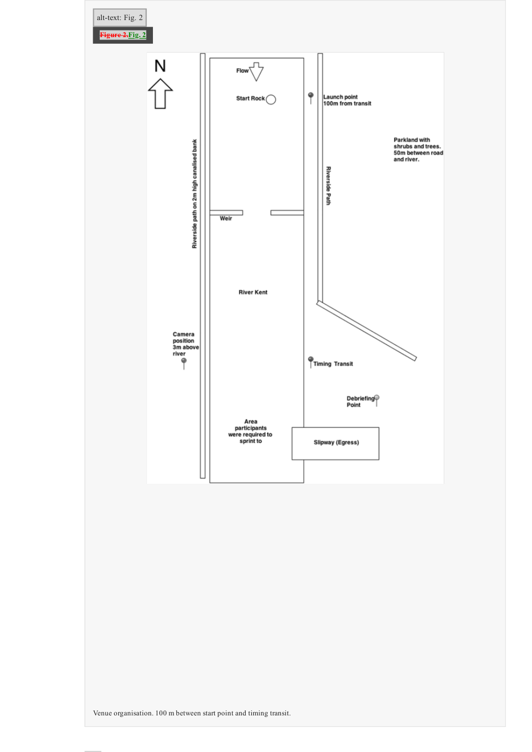

Venue organisation. 100 m between start point and timing transit.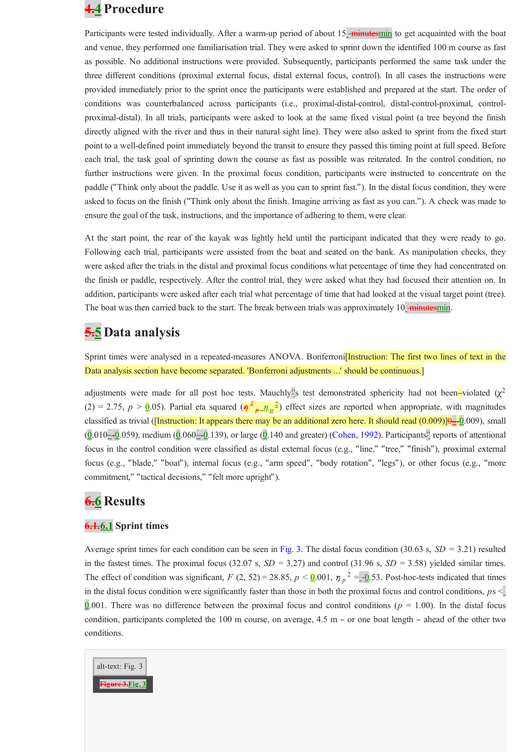## 4.4 Procedure

Participants were tested individually. After a warm-up period of about 15 minutesmin to get acquainted with the boat and venue, they performed one familiarisation trial. They were asked to sprint down the identified 100 m course as fast as possible. No additional instructions were provided. Subsequently, participants performed the same task under the three different conditions (proximal external focus, distal external focus, control). In all cases the instructions were provided immediately prior to the sprint once the participants were established and prepared at the start. The order of conditions was counterbalanced across participants (i.e., proximal-distal-control, distal-control-proximal, controlproximal-distal). In all trials, participants were asked to look at the same fixed visual point (a tree beyond the finish directly aligned with the river and thus in their natural sight line). They were also asked to sprint from the fixed start point to a well-defined point immediately beyond the transit to ensure they passed this timing point at full speed. Before each trial, the task goal of sprinting down the course as fast as possible was reiterated. In the control condition, no further instructions were given. In the proximal focus condition, participants were instructed to concentrate on the paddle ("Think only about the paddle. Use it as well as you can to sprint fast."). In the distal focus condition, they were asked to focus on the finish ("Think only about the finish. Imagine arriving as fast as you can."). A check was made to ensure the goal of the task, instructions, and the importance of adhering to them, were clear.

At the start point, the rear of the kayak was lightly held until the participant indicated that they were ready to go. Following each trial, participants were assisted from the boat and seated on the bank. As manipulation checks, they were asked after the trials in the distal and proximal focus conditions what percentage of time they had concentrated on the finish or paddle, respectively. After the control trial, they were asked what they had focused their attention on. In addition, participants were asked after each trial what percentage of time that had looked at the visual target point (tree). The boat was then carried back to the start. The break between trials was approximately 10\_-minutesmin

# 5.5 Data analysis

Sprint times were analysed in a repeated-measures ANOVA. Bonferroni<sup>[Instruction:</sup> The first two lines of text in the Data analysis section have become separated. 'Bonferroni adjustments ...' should be continuous.]

adjustments were made for all post hoc tests. Mauchly's test demonstrated sphericity had not been-violated  $(\chi^2)$ (2) = 2.75,  $p > 0.05$ . Partial eta squared  $(\frac{p^2}{n} - n_e)^2$  effect sizes are reported when appropriate, with magnitudes classified as trivial (*[Instruction: It appears there may be an additional zero here. It should read (0.009)* $\theta$ –0.009), small  $(0.010-0.059)$ , medium  $(0.060-0.139)$ , or large  $(0.140$  and greater) (Cohen, 1992). Participants<sup>2</sup> reports of attentional focus in the control condition were classified as distal external focus (e.g., "line," "tree," "finish"), proximal external focus (e.g., "blade," "boat"), internal focus (e.g., "arm speed", "body rotation", "legs"), or other focus (e.g., "more commitment," "tactical decisions," "felt more upright").

### **6.6 Results**

### 6.1.6.1 Sprint times

Average sprint times for each condition can be seen in Fig. 3. The distal focus condition (30.63 s,  $SD = 3.21$ ) resulted in the fastest times. The proximal focus (32.07 s,  $SD = 3.27$ ) and control (31.96 s,  $SD = 3.58$ ) yielded similar times. The effect of condition was significant,  $F(2, 52) = 28.85$ ,  $p < \underline{0.001}$ ,  $\eta_p^2 = -0.53$ . Post-hoc-tests indicated that times in the distal focus condition were significantly faster than those in both the proximal focus and control conditions,  $p_s <$ 0.001. There was no difference between the proximal focus and control conditions ( $p = 1.00$ ). In the distal focus condition, participants completed the 100 m course, on average,  $4.5$  m – or one boat length – ahead of the other two conditions.

alt-text: Fig. 3 <del>ure 3.</del>Fig. 3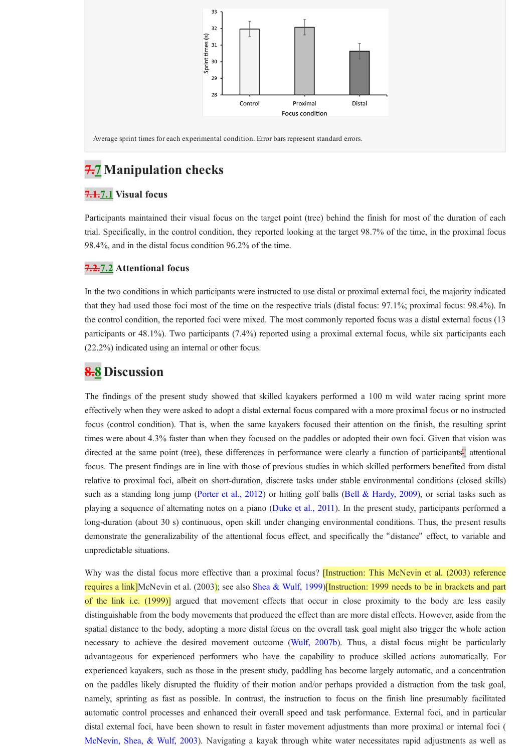

# 7.7 Manipulation checks

### 7.1.7.1 Visual focus

Participants maintained their visual focus on the target point (tree) behind the finish for most of the duration of each trial. Specifically, in the control condition, they reported looking at the target 98.7% of the time, in the proximal focus 98.4%, and in the distal focus condition 96.2% of the time.

### 7.2.7.2 Attentional focus

In the two conditions in which participants were instructed to use distal or proximal external foci, the majority indicated that they had used those foci most of the time on the respective trials (distal focus: 97.1%; proximal focus: 98.4%). In the control condition, the reported foci were mixed. The most commonly reported focus was a distal external focus (13 participants or 48.1%). Two participants (7.4%) reported using a proximal external focus, while six participants each  $(22.2%)$  indicated using an internal or other focus.

### 8.8 Discussion

The findings of the present study showed that skilled kayakers performed a 100 m wild water racing sprint more effectively when they were asked to adopt a distal external focus compared with a more proximal focus or no instructed focus (control condition). That is, when the same kayakers focused their attention on the finish, the resulting sprint times were about 4.3% faster than when they focused on the paddles or adopted their own foci. Given that vision was directed at the same point (tree), these differences in performance were clearly a function of participants<sup>2</sup> attentional focus. The present findings are in line with those of previous studies in which skilled performers benefited from distal relative to proximal foci, albeit on short-duration, discrete tasks under stable environmental conditions (closed skills) such as a standing long jump (Porter et al., 2012) or hitting golf balls (Bell & Hardy, 2009), or serial tasks such as playing a sequence of alternating notes on a piano (Duke et al., 2011). In the present study, participants performed a long-duration (about 30 s) continuous, open skill under changing environmental conditions. Thus, the present results demonstrate the generalizability of the attentional focus effect, and specifically the "distance" effect, to variable and unpredictable situations.

Why was the distal focus more effective than a proximal focus? [Instruction: This McNevin et al. (2003) reference requires a link McNevin et al. (2003); see also Shea & Wulf, 1999) Instruction: 1999 needs to be in brackets and part of the link i.e. (1999)] argued that movement effects that occur in close proximity to the body are less easily distinguishable from the body movements that produced the effect than are more distal effects. However, aside from the spatial distance to the body, adopting a more distal focus on the overall task goal might also trigger the whole action necessary to achieve the desired movement outcome (Wulf, 2007b). Thus, a distal focus might be particularly advantageous for experienced performers who have the capability to produce skilled actions automatically. For experienced kayakers, such as those in the present study, paddling has become largely automatic, and a concentration on the paddles likely disrupted the fluidity of their motion and/or perhaps provided a distraction from the task goal, namely, sprinting as fast as possible. In contrast, the instruction to focus on the finish line presumably facilitated automatic control processes and enhanced their overall speed and task performance. External foci, and in particular distal external foci, have been shown to result in faster movement adjustments than more proximal or internal foci ( McNevin, Shea, & Wulf, 2003). Navigating a kayak through white water necessitates rapid adjustments as well as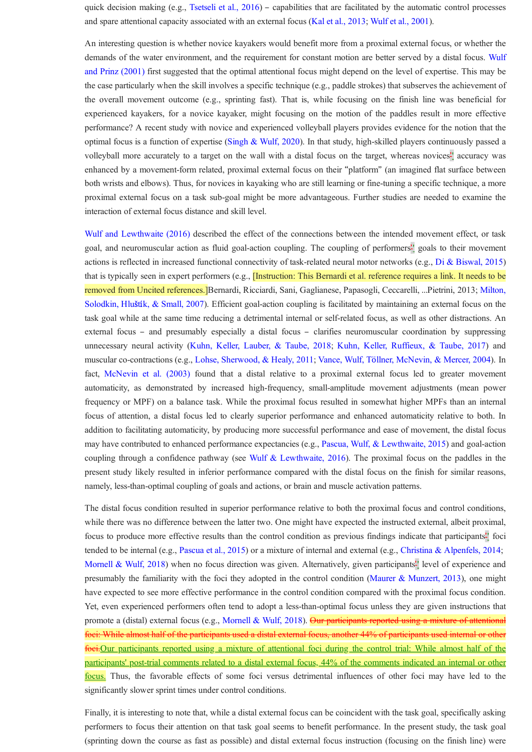quick decision making (e.g., Tsetseli et al., 2016) - capabilities that are facilitated by the automatic control processes and spare attentional capacity associated with an external focus (Kal et al., 2013; Wulf et al., 2001).

An interesting question is whether novice kayakers would benefit more from a proximal external focus, or whether the demands of the water environment, and the requirement for constant motion are better served by a distal focus. Wulf and Prinz (2001) first suggested that the optimal attentional focus might depend on the level of expertise. This may be the case particularly when the skill involves a specific technique (e.g., paddle strokes) that subserves the achievement of the overall movement outcome (e.g., sprinting fast). That is, while focusing on the finish line was beneficial for experienced kayakers, for a novice kayaker, might focusing on the motion of the paddles result in more effective performance? A recent study with novice and experienced volleyball players provides evidence for the notion that the optimal focus is a function of expertise (Singh & Wulf, 2020). In that study, high-skilled players continuously passed a volleyball more accurately to a target on the wall with a distal focus on the target, whereas novices<sup>21</sup> accuracy was enhanced by a movement-form related, proximal external focus on their "platform" (an imagined flat surface between both wrists and elbows). Thus, for novices in kayaking who are still learning or fine-tuning a specific technique, a more proximal external focus on a task sub-goal might be more advantageous. Further studies are needed to examine the interaction of external focus distance and skill level.

Wulf and Lewthwaite (2016) described the effect of the connections between the intended movement effect, or task goal, and neuromuscular action as fluid goal-action coupling. The coupling of performers' goals to their movement actions is reflected in increased functional connectivity of task-related neural motor networks (e.g., Di & Biswal, 2015) that is typically seen in expert performers (e.g., *[Instruction: This Bernardi et al. reference requires a link. It needs to be* removed from Uncited references. Bernardi, Ricciardi, Sani, Gaglianese, Papasogli, Ceccarelli, ... Pietrini, 2013; Milton, Solodkin, Hluštík, & Small, 2007). Efficient goal-action coupling is facilitated by maintaining an external focus on the task goal while at the same time reducing a detrimental internal or self-related focus, as well as other distractions. An external focus – and presumably especially a distal focus – clarifies neuromuscular coordination by suppressing unnecessary neural activity (Kuhn, Keller, Lauber, & Taube, 2018; Kuhn, Keller, Ruffieux, & Taube, 2017) and muscular co-contractions (e.g., Lohse, Sherwood, & Healy, 2011; Vance, Wulf, Töllner, McNevin, & Mercer, 2004). In fact, McNevin et al. (2003) found that a distal relative to a proximal external focus led to greater movement automaticity, as demonstrated by increased high-frequency, small-amplitude movement adjustments (mean power frequency or MPF) on a balance task. While the proximal focus resulted in somewhat higher MPFs than an internal focus of attention, a distal focus led to clearly superior performance and enhanced automaticity relative to both. In addition to facilitating automaticity, by producing more successful performance and ease of movement, the distal focus may have contributed to enhanced performance expectancies (e.g., Pascua, Wulf, & Lewthwaite, 2015) and goal-action coupling through a confidence pathway (see Wulf & Lewthwaite, 2016). The proximal focus on the paddles in the present study likely resulted in inferior performance compared with the distal focus on the finish for similar reasons, namely, less-than-optimal coupling of goals and actions, or brain and muscle activation patterns.

The distal focus condition resulted in superior performance relative to both the proximal focus and control conditions, while there was no difference between the latter two. One might have expected the instructed external, albeit proximal, focus to produce more effective results than the control condition as previous findings indicate that participants<sup>21</sup> foci tended to be internal (e.g., Pascua et al., 2015) or a mixture of internal and external (e.g., Christina & Alpenfels, 2014; Mornell & Wulf, 2018) when no focus direction was given. Alternatively, given participants<sup>2</sup> level of experience and presumably the familiarity with the foci they adopted in the control condition (Maurer & Munzert, 2013), one might have expected to see more effective performance in the control condition compared with the proximal focus condition. Yet, even experienced performers often tend to adopt a less-than-optimal focus unless they are given instructions that promote a (distal) external focus (e.g., Mornell & Wulf, 2018). Our participants reported using a mixture of attentional foci: While almost half of the participants used a distal external focus, another 44% of participants used internal or other foei.Our participants reported using a mixture of attentional foci during the control trial: While almost half of the participants' post-trial comments related to a distal external focus, 44% of the comments indicated an internal or other focus. Thus, the favorable effects of some foci versus detrimental influences of other foci may have led to the significantly slower sprint times under control conditions.

Finally, it is interesting to note that, while a distal external focus can be coincident with the task goal, specifically asking performers to focus their attention on that task goal seems to benefit performance. In the present study, the task goal (sprinting down the course as fast as possible) and distal external focus instruction (focusing on the finish line) were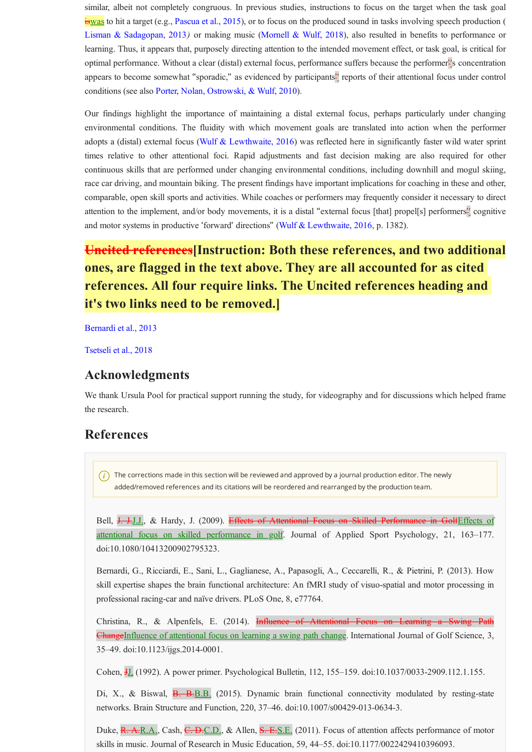similar, albeit not completely congruous. In previous studies, instructions to focus on the target when the task goal  $\frac{1}{18}$  is a target (e.g., Pascua et al., 2015), or to focus on the produced sound in tasks involving speech production ( Lisman & Sadagopan, 2013) or making music (Mornell & Wulf, 2018), also resulted in benefits to performance or learning. Thus, it appears that, purposely directing attention to the intended movement effect, or task goal, is critical for optimal performance. Without a clear (distal) external focus, performance suffers because the performer<sup>z</sup>'s concentration appears to become somewhat "sporadic," as evidenced by participants<sup>2</sup> reports of their attentional focus under control conditions (see also Porter, Nolan, Ostrowski, & Wulf, 2010).

Our findings highlight the importance of maintaining a distal external focus, perhaps particularly under changing environmental conditions. The fluidity with which movement goals are translated into action when the performer adopts a (distal) external focus (Wulf & Lewthwaite, 2016) was reflected here in significantly faster wild water sprint times relative to other attentional foci. Rapid adjustments and fast decision making are also required for other continuous skills that are performed under changing environmental conditions, including downhill and mogul skiing, race car driving, and mountain biking. The present findings have important implications for coaching in these and other, comparable, open skill sports and activities. While coaches or performers may frequently consider it necessary to direct attention to the implement, and/or body movements, it is a distal "external focus [that] propel[s] performers<sup>2</sup> cognitive and motor systems in productive 'forward' directions" (Wulf & Lewthwaite, 2016, p. 1382).

# Uncited references [Instruction: Both these references, and two additional ones, are flagged in the text above. They are all accounted for as cited references. All four require links. The Uncited references heading and it's two links need to be removed.

Bernardi et al., 2013

Tsetseli et al., 2018

### **Acknowledgments**

We thank Ursula Pool for practical support running the study, for videography and for discussions which helped frame the research.

### **References**

The corrections made in this section will be reviewed and approved by a journal production editor. The newly added/removed references and its citations will be reordered and rearranged by the production team.

Bell, J. J.J.J., & Hardy, J. (2009). Effects of Attentional Focus on Skilled Performance in GolfEffects of attentional focus on skilled performance in golf. Journal of Applied Sport Psychology, 21, 163-177. doi:10.1080/10413200902795323.

Bernardi, G., Ricciardi, E., Sani, L., Gaglianese, A., Papasogli, A., Ceccarelli, R., & Pietrini, P. (2013). How skill expertise shapes the brain functional architecture: An fMRI study of visuo-spatial and motor processing in professional racing-car and naïve drivers. PLoS One, 8, e77764.

Christina, R., & Alpenfels, E. (2014). Influence of Attentional Focus on Learning a Swing Path ChangeInfluence of attentional focus on learning a swing path change. International Journal of Golf Science, 3, 35-49. doi:10.1123/ijgs.2014-0001.

Cohen, J.J. (1992). A power primer. Psychological Bulletin, 112, 155–159. doi:10.1037/0033-2909.112.1.155.

Di, X., & Biswal,  $B_1$ ,  $B_2$ ,  $B_3$ , (2015). Dynamic brain functional connectivity modulated by resting-state networks. Brain Structure and Function, 220, 37-46. doi:10.1007/s00429-013-0634-3.

Duke, R. A.R.A., Cash, C. D.C.D., & Allen, S. E.S.E. (2011). Focus of attention affects performance of motor skills in music. Journal of Research in Music Education, 59, 44-55. doi:10.1177/0022429410396093.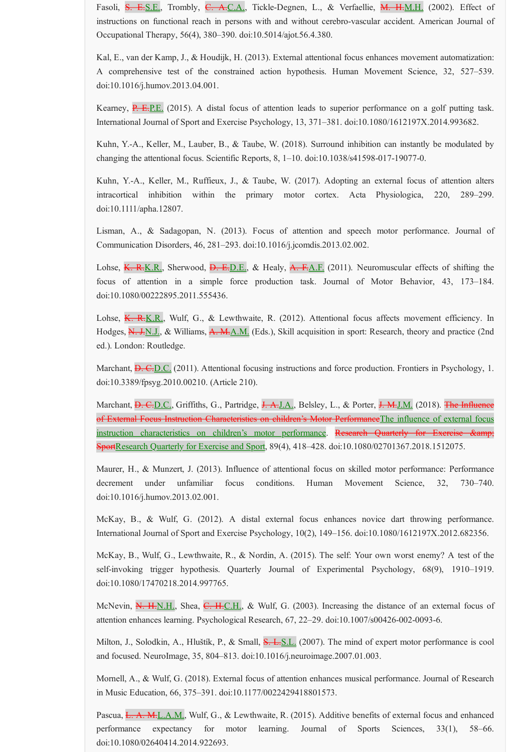Fasoli, S. E.S.E., Trombly, C. A.C.A., Tickle-Degnen, L., & Verfaellie, M. H.M.H. (2002). Effect of instructions on functional reach in persons with and without cerebro-vascular accident. American Journal of Occupational Therapy, 56(4), 380–390. doi:10.5014/ajot.56.4.380.

Kal, E., van der Kamp, J., & Houdijk, H. (2013). External attentional focus enhances movement automatization: A comprehensive test of the constrained action hypothesis. Human Movement Science, 32, 527-539. doi:10.1016/j.humov.2013.04.001.

Kearney, P. E.P.E. (2015). A distal focus of attention leads to superior performance on a golf putting task. International Journal of Sport and Exercise Psychology, 13, 371-381. doi:10.1080/1612197X.2014.993682.

Kuhn, Y.-A., Keller, M., Lauber, B., & Taube, W. (2018). Surround inhibition can instantly be modulated by changing the attentional focus. Scientific Reports, 8, 1-10. doi:10.1038/s41598-017-19077-0.

Kuhn, Y.-A., Keller, M., Ruffieux, J., & Taube, W. (2017). Adopting an external focus of attention alters intracortical inhibition within the primary motor cortex. Acta Physiologica, 220, 289–299. doi:10.1111/apha.12807.

Lisman, A., & Sadagopan, N. (2013). Focus of attention and speech motor performance. Journal of Communication Disorders, 46, 281-293. doi:10.1016/j.jcomdis.2013.02.002.

Lohse, K. R.K.R., Sherwood, D. E.D.E., & Healy, A. F.A.F. (2011). Neuromuscular effects of shifting the focus of attention in a simple force production task. Journal of Motor Behavior, 43, 173–184. doi:10.1080/00222895.2011.555436.

Lohse, K. R.K.R., Wulf, G., & Lewthwaite, R. (2012). Attentional focus affects movement efficiency. In Hodges, N. J.N.J., & Williams, A. M.A.M. (Eds.), Skill acquisition in sport: Research, theory and practice (2nd ed.). London: Routledge.

Marchant, <del>D. C.</del>D.C. (2011). Attentional focusing instructions and force production. Frontiers in Psychology, 1. doi:10.3389/fpsyg.2010.00210. (Article 210).

Marchant, D. C.D.C., Griffiths, G., Partridge, J. A.J.A., Belsley, L., & Porter, J. M.J.M. (2018). The Influence of External Focus Instruction Characteristics on children's Motor Performance The influence of external focus instruction characteristics on children's motor performance. Research Quarterly for Exercise & amp; SportResearch Quarterly for Exercise and Sport, 89(4), 418-428. doi:10.1080/02701367.2018.1512075.

Maurer, H., & Munzert, J. (2013). Influence of attentional focus on skilled motor performance: Performance decrement under unfamiliar focus conditions. Human Movement Science,  $32,$ 730-740. doi:10.1016/j.humov.2013.02.001.

McKay, B., & Wulf, G. (2012). A distal external focus enhances novice dart throwing performance. International Journal of Sport and Exercise Psychology, 10(2), 149-156. doi:10.1080/1612197X.2012.682356.

McKay, B., Wulf, G., Lewthwaite, R., & Nordin, A. (2015). The self: Your own worst enemy? A test of the self-invoking trigger hypothesis. Quarterly Journal of Experimental Psychology, 68(9), 1910-1919. doi:10.1080/17470218.2014.997765.

McNevin, N. H.N.H., Shea, C. H.C.H., & Wulf, G. (2003). Increasing the distance of an external focus of attention enhances learning. Psychological Research, 67, 22-29. doi:10.1007/s00426-002-0093-6.

Milton, J., Solodkin, A., Hluštík, P., & Small, S. L. (2007). The mind of expert motor performance is cool and focused. NeuroImage, 35, 804-813. doi:10.1016/j.neuroimage.2007.01.003.

Mornell, A., & Wulf, G. (2018). External focus of attention enhances musical performance. Journal of Research in Music Education, 66, 375-391. doi:10.1177/0022429418801573.

Pascua, L. A. M. L. A.M., Wulf, G., & Lewthwaite, R. (2015). Additive benefits of external focus and enhanced performance expectancy for motor learning. Journal of Sports Sciences, 33(1), 58–66. doi:10.1080/02640414.2014.922693.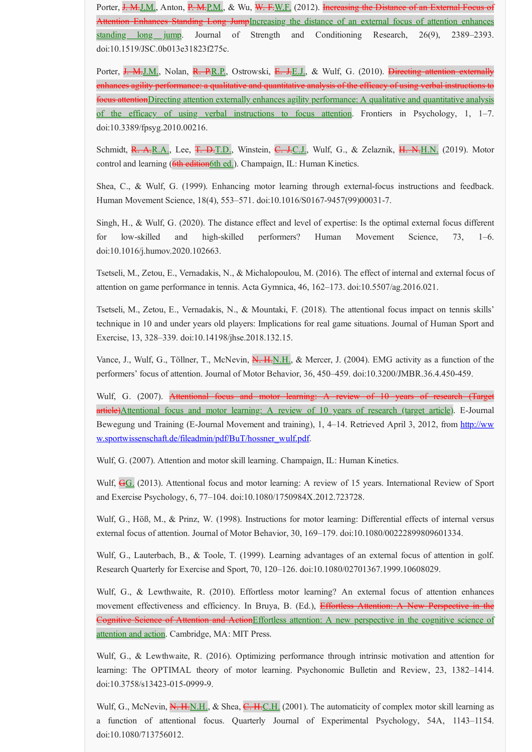Porter, J. M.J.M., Anton, P. M.P.M., & Wu, W. F.W.F. (2012). Increasing the Distance of an External Focus of Attention Enhances Standing Long JumpIncreasing the distance of an external focus of attention enhances standing long jump. Journal of Strength and Conditioning Research,  $26(9)$ ,  $2389-2393$ . doi:10.1519/JSC.0b013e31823f275c.

Porter, J. M.J.M., Nolan, R. P.R.P., Ostrowski, E. J.E.J., & Wulf, G. (2010). Directing attention externally enhances agility performance: a qualitative and quantitative analysis of the efficacy of using verbal instructions to focus attention Directing attention externally enhances agility performance: A qualitative and quantitative analysis of the efficacy of using verbal instructions to focus attention. Frontiers in Psychology, 1,  $1-7$ . doi:10.3389/fpsyg.2010.00216.

Schmidt, R. A.R.A., Lee, T. D.T.D., Winstein, C. J.C.J., Wulf, G., & Zelaznik, H. N.H.N. (2019). Motor control and learning (6th edition6th ed.). Champaign, IL: Human Kinetics.

Shea, C., & Wulf, G. (1999). Enhancing motor learning through external-focus instructions and feedback. Human Movement Science, 18(4), 553-571. doi:10.1016/S0167-9457(99)00031-7.

Singh, H., & Wulf, G. (2020). The distance effect and level of expertise: Is the optimal external focus different low-skilled high-skilled performers? Human Movement Science, for and 73.  $1 - 6$ . doi:10.1016/j.humov.2020.102663.

Tsetseli, M., Zetou, E., Vernadakis, N., & Michalopoulou, M. (2016). The effect of internal and external focus of attention on game performance in tennis. Acta Gymnica, 46, 162-173. doi:10.5507/ag.2016.021.

Tsetseli, M., Zetou, E., Vernadakis, N., & Mountaki, F. (2018). The attentional focus impact on tennis skills' technique in 10 and under years old players: Implications for real game situations. Journal of Human Sport and Exercise, 13, 328-339. doi:10.14198/jhse.2018.132.15.

Vance, J., Wulf, G., Töllner, T., McNevin, N. H.N.H., & Mercer, J. (2004). EMG activity as a function of the performers' focus of attention. Journal of Motor Behavior, 36, 450-459. doi:10.3200/JMBR.36.4.450-459.

Wulf, G. (2007). Attentional foeus and motor learning: A review of 10 years of research (Target article)Attentional focus and motor learning: A review of 10 years of research (target article). E-Journal Bewegung und Training (E-Journal Movement and training), 1, 4–14. Retrieved April 3, 2012, from http://ww w.sportwissenschaft.de/fileadmin/pdf/BuT/hossner\_wulf.pdf.

Wulf, G. (2007). Attention and motor skill learning. Champaign, IL: Human Kinetics.

Wulf, GG. (2013). Attentional focus and motor learning: A review of 15 years. International Review of Sport and Exercise Psychology, 6, 77-104. doi:10.1080/1750984X.2012.723728.

Wulf, G., Höß, M., & Prinz, W. (1998). Instructions for motor learning: Differential effects of internal versus external focus of attention. Journal of Motor Behavior, 30, 169-179. doi:10.1080/00222899809601334.

Wulf, G., Lauterbach, B., & Toole, T. (1999). Learning advantages of an external focus of attention in golf. Research Quarterly for Exercise and Sport, 70, 120-126. doi:10.1080/02701367.1999.10608029.

Wulf, G., & Lewthwaite, R. (2010). Effortless motor learning? An external focus of attention enhances movement effectiveness and efficiency. In Bruya, B. (Ed.), Effortless Attention: A New Perspective in the Cognitive Science of Attention and ActionEffortless attention: A new perspective in the cognitive science of attention and action. Cambridge, MA: MIT Press.

Wulf, G., & Lewthwaite, R. (2016). Optimizing performance through intrinsic motivation and attention for learning: The OPTIMAL theory of motor learning. Psychonomic Bulletin and Review, 23, 1382-1414. doi:10.3758/s13423-015-0999-9.

Wulf, G., McNevin, N. H.N.H., & Shea, C. H.C.H. (2001). The automaticity of complex motor skill learning as a function of attentional focus. Quarterly Journal of Experimental Psychology, 54A, 1143-1154. doi:10.1080/713756012.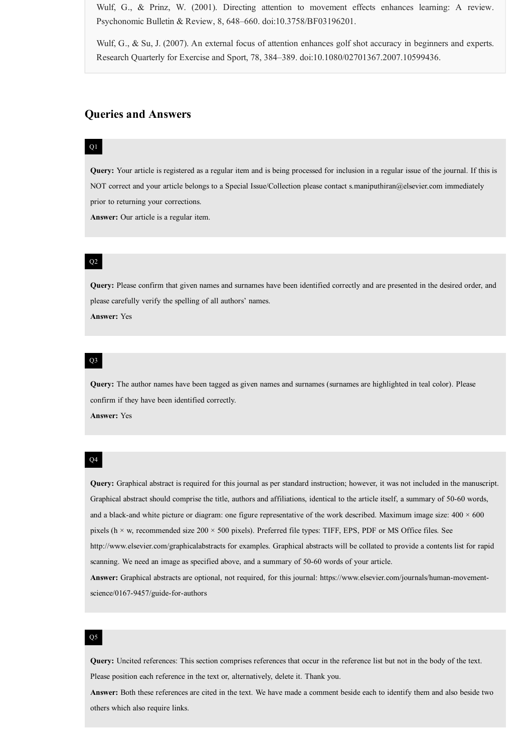Wulf, G., & Prinz, W. (2001). Directing attention to movement effects enhances learning: A review. Psychonomic Bulletin & Review, 8, 648–660. doi:10.3758/BF03196201.

Wulf, G., & Su, J. (2007). An external focus of attention enhances golf shot accuracy in beginners and experts. Research Quarterly for Exercise and Sport, 78, 384–389. doi:10.1080/02701367.2007.10599436.

### **Queries and Answers**

#### Q1

**Query:** Your article is registered as a regular item and is being processed for inclusion in a regular issue of the journal. If this is NOT correct and your article belongs to a Special Issue/Collection please contact s.maniputhiran@elsevier.com immediately prior to returning your corrections.

**Answer:** Our article is a regular item.

### $Q2$

**Query:** Please confirm that given names and surnames have been identified correctly and are presented in the desired order, and please carefully verify the spelling of all authors' names.

**Answer:** Yes

### Q3

**Query:** The author names have been tagged as given names and surnames (surnames are highlighted in teal color). Please confirm if they have been identified correctly.

**Answer:** Yes

### Q4

**Query:** Graphical abstract is required for this journal as per standard instruction; however, it was not included in the manuscript. Graphical abstract should comprise the title, authors and affiliations, identical to the article itself, a summary of 50-60 words, and a black-and white picture or diagram: one figure representative of the work described. Maximum image size:  $400 \times 600$ pixels (h × w, recommended size 200 × 500 pixels). Preferred file types: TIFF, EPS, PDF or MS Office files. See http://www.elsevier.com/graphicalabstracts for examples. Graphical abstracts will be collated to provide a contents list for rapid scanning. We need an image as specified above, and a summary of 50-60 words of your article. **Answer:** Graphical abstracts are optional, not required, for this journal: https://www.elsevier.com/journals/human-movement-

science/0167-9457/guide-for-authors

#### Q5

**Query:** Uncited references: This section comprises references that occur in the reference list but not in the body of the text. Please position each reference in the text or, alternatively, delete it. Thank you.

**Answer:** Both these references are cited in the text. We have made a comment beside each to identify them and also beside two others which also require links.